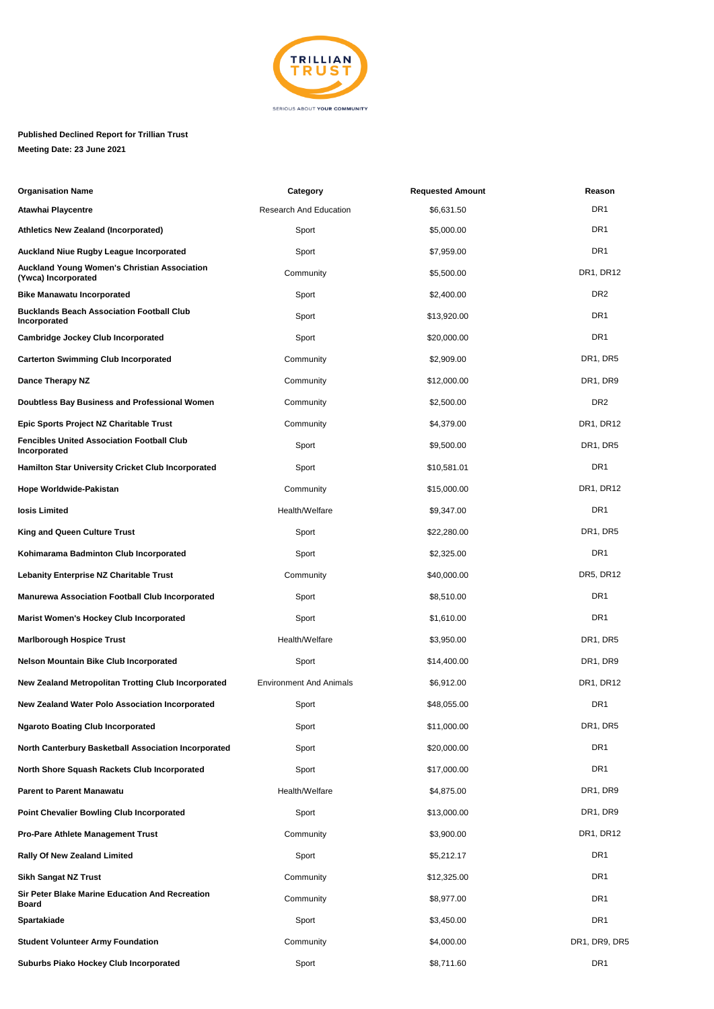

## **Published Declined Report for Trillian Trust Meeting Date: 23 June 2021**

| <b>Organisation Name</b>                                                   | Category                       | <b>Requested Amount</b> | Reason          |
|----------------------------------------------------------------------------|--------------------------------|-------------------------|-----------------|
| Atawhai Playcentre                                                         | <b>Research And Education</b>  | \$6,631.50              | DR <sub>1</sub> |
| <b>Athletics New Zealand (Incorporated)</b>                                | Sport                          | \$5,000.00              | DR <sub>1</sub> |
| <b>Auckland Niue Rugby League Incorporated</b>                             | Sport                          | \$7,959.00              | DR <sub>1</sub> |
| <b>Auckland Young Women's Christian Association</b><br>(Ywca) Incorporated | Community                      | \$5,500.00              | DR1, DR12       |
| <b>Bike Manawatu Incorporated</b>                                          | Sport                          | \$2,400.00              | DR <sub>2</sub> |
| <b>Bucklands Beach Association Football Club</b><br>Incorporated           | Sport                          | \$13,920.00             | DR <sub>1</sub> |
| <b>Cambridge Jockey Club Incorporated</b>                                  | Sport                          | \$20,000.00             | DR <sub>1</sub> |
| <b>Carterton Swimming Club Incorporated</b>                                | Community                      | \$2,909.00              | DR1, DR5        |
| Dance Therapy NZ                                                           | Community                      | \$12,000.00             | DR1, DR9        |
| Doubtless Bay Business and Professional Women                              | Community                      | \$2,500.00              | DR <sub>2</sub> |
| Epic Sports Project NZ Charitable Trust                                    | Community                      | \$4,379.00              | DR1, DR12       |
| <b>Fencibles United Association Football Club</b><br>Incorporated          | Sport                          | \$9,500.00              | DR1, DR5        |
| <b>Hamilton Star University Cricket Club Incorporated</b>                  | Sport                          | \$10,581.01             | DR <sub>1</sub> |
| Hope Worldwide-Pakistan                                                    | Community                      | \$15,000.00             | DR1, DR12       |
| losis Limited                                                              | Health/Welfare                 | \$9,347.00              | DR <sub>1</sub> |
| King and Queen Culture Trust                                               | Sport                          | \$22,280.00             | DR1, DR5        |
| Kohimarama Badminton Club Incorporated                                     | Sport                          | \$2,325.00              | DR <sub>1</sub> |
| <b>Lebanity Enterprise NZ Charitable Trust</b>                             | Community                      | \$40,000.00             | DR5, DR12       |
| <b>Manurewa Association Football Club Incorporated</b>                     | Sport                          | \$8,510.00              | DR <sub>1</sub> |
| <b>Marist Women's Hockey Club Incorporated</b>                             | Sport                          | \$1,610.00              | DR <sub>1</sub> |
| <b>Marlborough Hospice Trust</b>                                           | Health/Welfare                 | \$3,950.00              | DR1, DR5        |
| <b>Nelson Mountain Bike Club Incorporated</b>                              | Sport                          | \$14,400.00             | DR1, DR9        |
| New Zealand Metropolitan Trotting Club Incorporated                        | <b>Environment And Animals</b> | \$6,912.00              | DR1, DR12       |
| <b>New Zealand Water Polo Association Incorporated</b>                     | Sport                          | \$48,055.00             | DR <sub>1</sub> |
| <b>Ngaroto Boating Club Incorporated</b>                                   | Sport                          | \$11,000.00             | DR1, DR5        |
| North Canterbury Basketball Association Incorporated                       | Sport                          | \$20,000.00             | DR1             |
| North Shore Squash Rackets Club Incorporated                               | Sport                          | \$17,000.00             | DR1             |
| <b>Parent to Parent Manawatu</b>                                           | Health/Welfare                 | \$4,875.00              | DR1, DR9        |
| <b>Point Chevalier Bowling Club Incorporated</b>                           | Sport                          | \$13,000.00             | DR1, DR9        |
| <b>Pro-Pare Athlete Management Trust</b>                                   | Community                      | \$3,900.00              | DR1, DR12       |
| Rally Of New Zealand Limited                                               | Sport                          | \$5,212.17              | DR <sub>1</sub> |
| Sikh Sangat NZ Trust                                                       | Community                      | \$12,325.00             | DR <sub>1</sub> |
| Sir Peter Blake Marine Education And Recreation<br>Board                   | Community                      | \$8,977.00              | DR <sub>1</sub> |
| Spartakiade                                                                | Sport                          | \$3,450.00              | DR <sub>1</sub> |
| <b>Student Volunteer Army Foundation</b>                                   | Community                      | \$4,000.00              | DR1, DR9, DR5   |
| Suburbs Piako Hockey Club Incorporated                                     | Sport                          | \$8,711.60              | DR <sub>1</sub> |